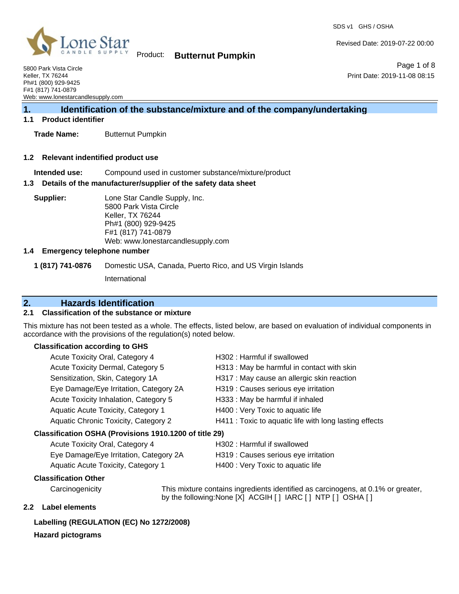SDS v1 GHS / OSHA

Page 1 of 8

Print Date: 2019-11-08 08:15

Revised Date: 2019-07-22 00:00



Product: **Butternut Pumpkin**

5800 Park Vista Circle Keller, TX 76244 Ph#1 (800) 929-9425 F#1 (817) 741-0879 Web: www.lonestarcandlesupply.com

# **1. Identification of the substance/mixture and of the company/undertaking**

## **1.1 Product identifier**

**Trade Name:** Butternut Pumpkin

#### **1.2 Relevant indentified product use**

**Intended use:** Compound used in customer substance/mixture/product

#### **1.3 Details of the manufacturer/supplier of the safety data sheet**

**Supplier:** Lone Star Candle Supply, Inc. 5800 Park Vista Circle Keller, TX 76244 Ph#1 (800) 929-9425 F#1 (817) 741-0879 Web: www.lonestarcandlesupply.com

## **1.4 Emergency telephone number**

**1 (817) 741-0876** Domestic USA, Canada, Puerto Rico, and US Virgin Islands

International

## **2. Hazards Identification**

## **2.1 Classification of the substance or mixture**

This mixture has not been tested as a whole. The effects, listed below, are based on evaluation of individual components in accordance with the provisions of the regulation(s) noted below.

## **Classification according to GHS**

| Acute Toxicity Oral, Category 4                        | H302: Harmful if swallowed                             |
|--------------------------------------------------------|--------------------------------------------------------|
| Acute Toxicity Dermal, Category 5                      | H313 : May be harmful in contact with skin             |
| Sensitization, Skin, Category 1A                       | H317 : May cause an allergic skin reaction             |
| Eye Damage/Eye Irritation, Category 2A                 | H319 : Causes serious eye irritation                   |
| Acute Toxicity Inhalation, Category 5                  | H333: May be harmful if inhaled                        |
| Aquatic Acute Toxicity, Category 1                     | H400 : Very Toxic to aquatic life                      |
| Aquatic Chronic Toxicity, Category 2                   | H411 : Toxic to aquatic life with long lasting effects |
| Classification OSHA (Provisions 1910.1200 of title 29) |                                                        |
| Acute Toxicity Oral, Category 4                        | H302: Harmful if swallowed                             |
| Eye Damage/Eye Irritation, Category 2A                 | H319 : Causes serious eye irritation                   |
| Aquatic Acute Toxicity, Category 1                     | H400 : Very Toxic to aquatic life                      |
|                                                        |                                                        |

## **Classification Other**

Carcinogenicity This mixture contains ingredients identified as carcinogens, at 0.1% or greater, by the following:None [X] ACGIH [] IARC [] NTP [] OSHA []

## **2.2 Label elements**

## **Labelling (REGULATION (EC) No 1272/2008)**

## **Hazard pictograms**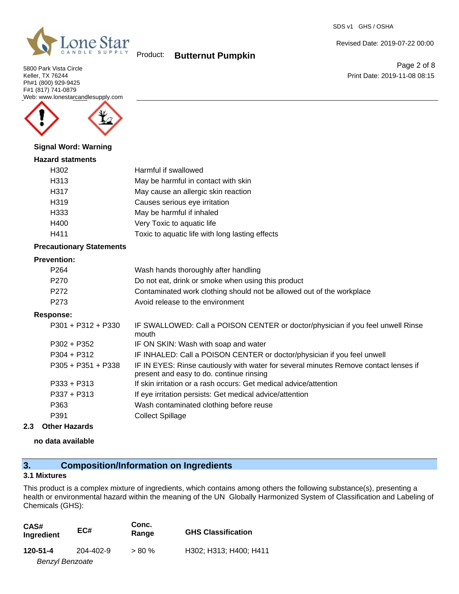

5800 Park Vista Circle Keller, TX 76244 Ph#1 (800) 929-9425 F#1 (817) 741-0879 Web: www.lonestarcandlesupply.com



#### **Signal Word: Warning**

#### **Hazard statments**

| uu statments |                                                 |
|--------------|-------------------------------------------------|
| H302         | Harmful if swallowed                            |
| H313         | May be harmful in contact with skin             |
| H317         | May cause an allergic skin reaction             |
| H319         | Causes serious eye irritation                   |
| H333         | May be harmful if inhaled                       |
| H400         | Very Toxic to aquatic life                      |
| H411         | Toxic to aquatic life with long lasting effects |

#### **Precautionary Statements**

## **Prevention:**

| P <sub>264</sub> | Wash hands thoroughly after handling                                  |
|------------------|-----------------------------------------------------------------------|
| P270             | Do not eat, drink or smoke when using this product                    |
| P272             | Contaminated work clothing should not be allowed out of the workplace |
| P273             | Avoid release to the environment                                      |

#### **Response:**

| $P301 + P312 + P330$ | IF SWALLOWED: Call a POISON CENTER or doctor/physician if you feel unwell Rinse<br>mouth                                         |
|----------------------|----------------------------------------------------------------------------------------------------------------------------------|
| $P302 + P352$        | IF ON SKIN: Wash with soap and water                                                                                             |
| $P304 + P312$        | IF INHALED: Call a POISON CENTER or doctor/physician if you feel unwell                                                          |
| $P305 + P351 + P338$ | IF IN EYES: Rinse cautiously with water for several minutes Remove contact lenses if<br>present and easy to do. continue rinsing |
| $P333 + P313$        | If skin irritation or a rash occurs: Get medical advice/attention                                                                |
| P337 + P313          | If eye irritation persists: Get medical advice/attention                                                                         |
| P363                 | Wash contaminated clothing before reuse                                                                                          |
| P391                 | <b>Collect Spillage</b>                                                                                                          |

## **2.3 Other Hazards**

**no data available**

# **3. Composition/Information on Ingredients**

#### **3.1 Mixtures**

This product is a complex mixture of ingredients, which contains among others the following substance(s), presenting a health or environmental hazard within the meaning of the UN Globally Harmonized System of Classification and Labeling of Chemicals (GHS):

| CAS#<br>Ingredient     | EC#       | Conc.<br>Range | <b>GHS Classification</b> |
|------------------------|-----------|----------------|---------------------------|
| 120-51-4               | 204-402-9 | $> 80 \%$      | H302; H313; H400; H411    |
| <b>Benzyl Benzoate</b> |           |                |                           |

SDS v1 GHS / OSHA

Revised Date: 2019-07-22 00:00

Page 2 of 8 Print Date: 2019-11-08 08:15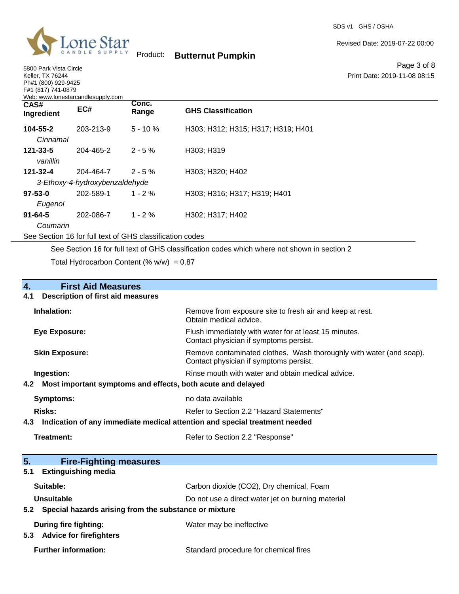

5800 Park Vista Circle Keller, TX 76244 Ph#1 (800) 929-9425

Product: **Butternut Pumpkin**

Revised Date: 2019-07-22 00:00

Page 3 of 8 Print Date: 2019-11-08 08:15

| F#1 (817) 741-0879<br>Web: www.lonestarcandlesupply.com  |           |                |                                    |
|----------------------------------------------------------|-----------|----------------|------------------------------------|
| CAS#<br>Ingredient                                       | EC#       | Conc.<br>Range | <b>GHS Classification</b>          |
| 104-55-2<br>Cinnamal                                     | 203-213-9 | $5 - 10%$      | H303; H312; H315; H317; H319; H401 |
| $121 - 33 - 5$<br>vanillin                               | 204-465-2 | $2 - 5%$       | H303; H319                         |
| 121-32-4                                                 | 204-464-7 | $2 - 5\%$      | H303; H320; H402                   |
| 3-Ethoxy-4-hydroxybenzaldehyde                           |           |                |                                    |
| $97 - 53 - 0$                                            | 202-589-1 | $1 - 2\%$      | H303; H316; H317; H319; H401       |
| Eugenol                                                  |           |                |                                    |
| $91 - 64 - 5$                                            | 202-086-7 | $1 - 2%$       | H302; H317; H402                   |
| Coumarin                                                 |           |                |                                    |
| See Section 16 for full text of GHS classification codes |           |                |                                    |

See Section 16 for full text of GHS classification codes which where not shown in section 2 Total Hydrocarbon Content (%  $w/w$ ) = 0.87

| $\mathbf{4}$ .<br><b>First Aid Measures</b>                                    |                                                                                                               |
|--------------------------------------------------------------------------------|---------------------------------------------------------------------------------------------------------------|
| <b>Description of first aid measures</b><br>4.1                                |                                                                                                               |
| Inhalation:                                                                    | Remove from exposure site to fresh air and keep at rest.<br>Obtain medical advice.                            |
| <b>Eye Exposure:</b>                                                           | Flush immediately with water for at least 15 minutes.<br>Contact physician if symptoms persist.               |
| <b>Skin Exposure:</b>                                                          | Remove contaminated clothes. Wash thoroughly with water (and soap).<br>Contact physician if symptoms persist. |
| Ingestion:                                                                     | Rinse mouth with water and obtain medical advice.                                                             |
| 4.2 Most important symptoms and effects, both acute and delayed                |                                                                                                               |
| <b>Symptoms:</b>                                                               | no data available                                                                                             |
| Risks:                                                                         | Refer to Section 2.2 "Hazard Statements"                                                                      |
| 4.3 Indication of any immediate medical attention and special treatment needed |                                                                                                               |
| Treatment:                                                                     | Refer to Section 2.2 "Response"                                                                               |
|                                                                                |                                                                                                               |
| 5.<br><b>Fire-Fighting measures</b>                                            |                                                                                                               |
| <b>Extinguishing media</b><br>5.1                                              |                                                                                                               |
| Suitable:                                                                      | Carbon dioxide (CO2), Dry chemical, Foam                                                                      |
| Unsuitable                                                                     | Do not use a direct water jet on burning material                                                             |
| 5.2 Special hazards arising from the substance or mixture                      |                                                                                                               |
| During fire fighting:                                                          | Water may be ineffective                                                                                      |
| 5.3 Advice for firefighters                                                    |                                                                                                               |
| <b>Further information:</b>                                                    | Standard procedure for chemical fires                                                                         |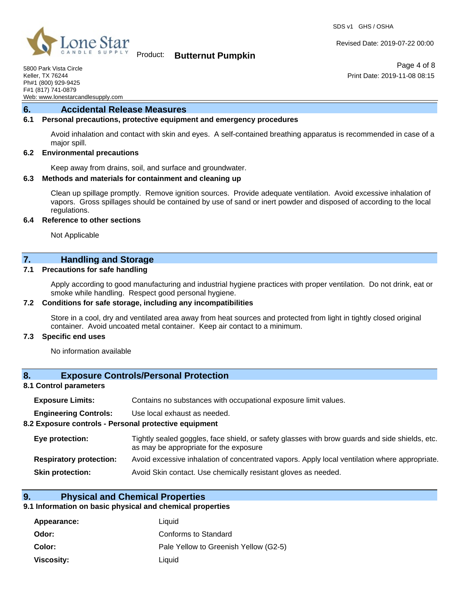SDS v1 GHS / OSHA



## Product: **Butternut Pumpkin**

Revised Date: 2019-07-22 00:00

Print Date: 2019-11-08 08:15

Page 4 of 8

5800 Park Vista Circle Keller, TX 76244 Ph#1 (800) 929-9425 F#1 (817) 741-0879 Web: www.lonestarcandlesupply.com

### **6. Accidental Release Measures**

## **6.1 Personal precautions, protective equipment and emergency procedures**

Avoid inhalation and contact with skin and eyes. A self-contained breathing apparatus is recommended in case of a major spill.

#### **6.2 Environmental precautions**

Keep away from drains, soil, and surface and groundwater.

#### **6.3 Methods and materials for containment and cleaning up**

Clean up spillage promptly. Remove ignition sources. Provide adequate ventilation. Avoid excessive inhalation of vapors. Gross spillages should be contained by use of sand or inert powder and disposed of according to the local regulations.

#### **6.4 Reference to other sections**

Not Applicable

## **7. Handling and Storage**

#### **7.1 Precautions for safe handling**

Apply according to good manufacturing and industrial hygiene practices with proper ventilation. Do not drink, eat or smoke while handling. Respect good personal hygiene.

#### **7.2 Conditions for safe storage, including any incompatibilities**

Store in a cool, dry and ventilated area away from heat sources and protected from light in tightly closed original container. Avoid uncoated metal container. Keep air contact to a minimum.

#### **7.3 Specific end uses**

No information available

## **8. Exposure Controls/Personal Protection**

#### **8.1 Control parameters**

| <b>Exposure Limits:</b>                               | Contains no substances with occupational exposure limit values.                                                                          |  |  |
|-------------------------------------------------------|------------------------------------------------------------------------------------------------------------------------------------------|--|--|
| <b>Engineering Controls:</b>                          | Use local exhaust as needed.                                                                                                             |  |  |
| 8.2 Exposure controls - Personal protective equipment |                                                                                                                                          |  |  |
| Eye protection:                                       | Tightly sealed goggles, face shield, or safety glasses with brow guards and side shields, etc.<br>as may be appropriate for the exposure |  |  |
| <b>Respiratory protection:</b>                        | Avoid excessive inhalation of concentrated vapors. Apply local ventilation where appropriate.                                            |  |  |
| <b>Skin protection:</b>                               | Avoid Skin contact. Use chemically resistant gloves as needed.                                                                           |  |  |
|                                                       |                                                                                                                                          |  |  |

## **9. Physical and Chemical Properties**

## **9.1 Information on basic physical and chemical properties**

| Appearance: | Liquid                                |
|-------------|---------------------------------------|
| Odor:       | Conforms to Standard                  |
| Color:      | Pale Yellow to Greenish Yellow (G2-5) |
| Viscosity:  | Liauid                                |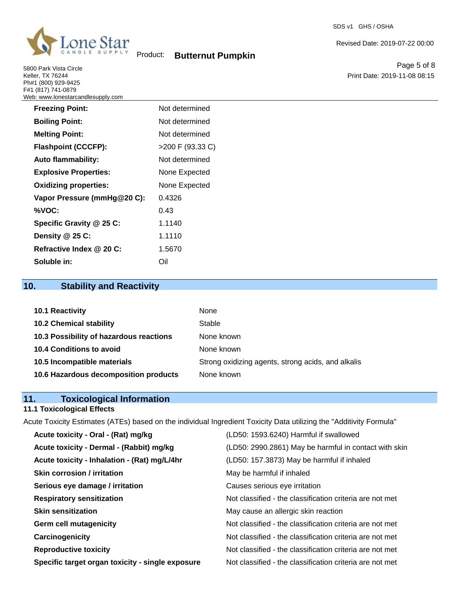

5800 Park Vista Circle Keller, TX 76244 Ph#1 (800) 929-9425 F#1 (817) 741-0879 Web: www.lonestarcandlesupply.com

Page 5 of 8 Print Date: 2019-11-08 08:15

Revised Date: 2019-07-22 00:00

| <b>Freezing Point:</b>       | Not determined   |
|------------------------------|------------------|
| <b>Boiling Point:</b>        | Not determined   |
| <b>Melting Point:</b>        | Not determined   |
| <b>Flashpoint (CCCFP):</b>   | >200 F (93.33 C) |
| <b>Auto flammability:</b>    | Not determined   |
| <b>Explosive Properties:</b> | None Expected    |
| <b>Oxidizing properties:</b> | None Expected    |
| Vapor Pressure (mmHg@20 C):  | 0.4326           |
| %VOC:                        | 0.43             |
| Specific Gravity @ 25 C:     | 1.1140           |
| Density @ 25 C:              | 1.1110           |
| Refractive Index @ 20 C:     | 1.5670           |
| Soluble in:                  | Oil              |

# **10. Stability and Reactivity**

| <b>10.1 Reactivity</b>                  | None                                               |
|-----------------------------------------|----------------------------------------------------|
| <b>10.2 Chemical stability</b>          | Stable                                             |
| 10.3 Possibility of hazardous reactions | None known                                         |
| 10.4 Conditions to avoid                | None known                                         |
| 10.5 Incompatible materials             | Strong oxidizing agents, strong acids, and alkalis |
| 10.6 Hazardous decomposition products   | None known                                         |

# **11. Toxicological Information**

## **11.1 Toxicological Effects**

Acute Toxicity Estimates (ATEs) based on the individual Ingredient Toxicity Data utilizing the "Additivity Formula"

| Acute toxicity - Oral - (Rat) mg/kg              | (LD50: 1593.6240) Harmful if swallowed                   |
|--------------------------------------------------|----------------------------------------------------------|
| Acute toxicity - Dermal - (Rabbit) mg/kg         | (LD50: 2990.2861) May be harmful in contact with skin    |
| Acute toxicity - Inhalation - (Rat) mg/L/4hr     | (LD50: 157.3873) May be harmful if inhaled               |
| <b>Skin corrosion / irritation</b>               | May be harmful if inhaled                                |
| Serious eye damage / irritation                  | Causes serious eye irritation                            |
| <b>Respiratory sensitization</b>                 | Not classified - the classification criteria are not met |
| <b>Skin sensitization</b>                        | May cause an allergic skin reaction                      |
| <b>Germ cell mutagenicity</b>                    | Not classified - the classification criteria are not met |
| Carcinogenicity                                  | Not classified - the classification criteria are not met |
| <b>Reproductive toxicity</b>                     | Not classified - the classification criteria are not met |
| Specific target organ toxicity - single exposure | Not classified - the classification criteria are not met |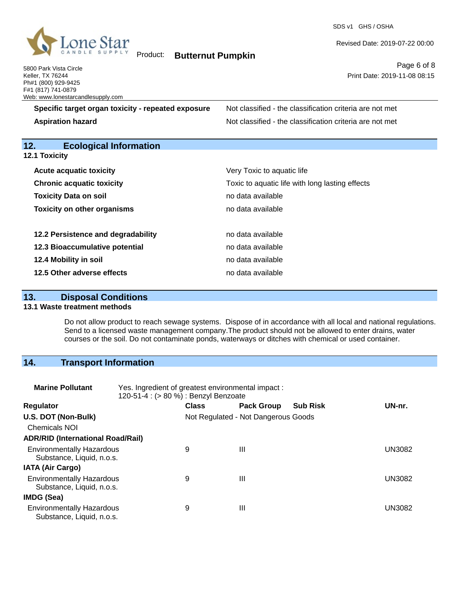

SDS v1 GHS / OSHA

Revised Date: 2019-07-22 00:00

Page 6 of 8 Print Date: 2019-11-08 08:15

5800 Park Vista Circle Keller, TX 76244 Ph#1 (800) 929-9425 F#1 (817) 741-0879 Web: www.lonestarcandlesupply.com

**Specific target organ toxicity - repeated exposure** Not classified - the classification criteria are not met

**Aspiration hazard Not classified - the classification criteria are not met** Not classified - the classification criteria are not met

# **12. Ecological Information**

**12.1 Toxicity**

| <b>Acute acquatic toxicity</b>     | Very Toxic to aquatic life                      |
|------------------------------------|-------------------------------------------------|
| <b>Chronic acquatic toxicity</b>   | Toxic to aquatic life with long lasting effects |
| <b>Toxicity Data on soil</b>       | no data available                               |
| <b>Toxicity on other organisms</b> | no data available                               |
|                                    |                                                 |
| 12.2 Persistence and degradability | no data available                               |
| 12.3 Bioaccumulative potential     | no data available                               |
| 12.4 Mobility in soil              | no data available                               |
| 12.5 Other adverse effects         | no data available                               |

## **13. Disposal Conditions**

### **13.1 Waste treatment methods**

Do not allow product to reach sewage systems. Dispose of in accordance with all local and national regulations. Send to a licensed waste management company.The product should not be allowed to enter drains, water courses or the soil. Do not contaminate ponds, waterways or ditches with chemical or used container.

## **14. Transport Information**

| <b>Marine Pollutant</b>                                       | Yes. Ingredient of greatest environmental impact:<br>120-51-4 : (> 80 %) : Benzyl Benzoate |              |                                     |                 |        |
|---------------------------------------------------------------|--------------------------------------------------------------------------------------------|--------------|-------------------------------------|-----------------|--------|
| <b>Regulator</b>                                              |                                                                                            | <b>Class</b> | <b>Pack Group</b>                   | <b>Sub Risk</b> | UN-nr. |
| U.S. DOT (Non-Bulk)                                           |                                                                                            |              | Not Regulated - Not Dangerous Goods |                 |        |
| <b>Chemicals NOI</b>                                          |                                                                                            |              |                                     |                 |        |
| <b>ADR/RID (International Road/Rail)</b>                      |                                                                                            |              |                                     |                 |        |
| <b>Environmentally Hazardous</b><br>Substance, Liquid, n.o.s. |                                                                                            | 9            | Ш                                   |                 | UN3082 |
| <b>IATA (Air Cargo)</b>                                       |                                                                                            |              |                                     |                 |        |
| <b>Environmentally Hazardous</b><br>Substance, Liquid, n.o.s. |                                                                                            | 9            | Ш                                   |                 | UN3082 |
| <b>IMDG (Sea)</b>                                             |                                                                                            |              |                                     |                 |        |
| <b>Environmentally Hazardous</b><br>Substance, Liquid, n.o.s. |                                                                                            | 9            | Ш                                   |                 | UN3082 |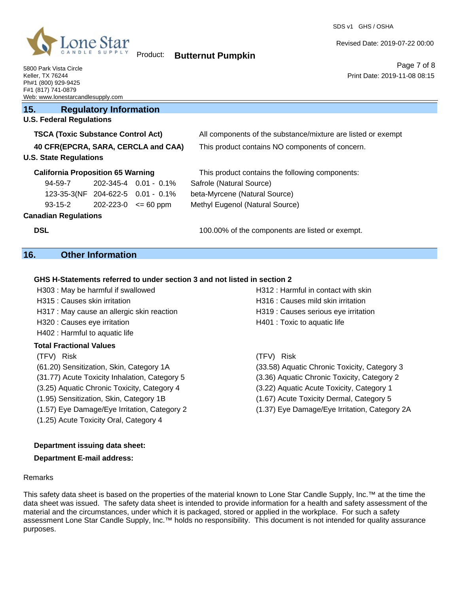

SDS v1 GHS / OSHA

Revised Date: 2019-07-22 00:00

Print Date: 2019-11-08 08:15

Page 7 of 8

5800 Park Vista Circle Keller, TX 76244 Ph#1 (800) 929-9425 F#1 (817) 741-0879 Web: www.lonestarcandlesupply.com

## **15. Regulatory Information**

# **U.S. Federal Regulations**

| <b>TSCA (Toxic Substance Control Act)</b><br>40 CFR(EPCRA, SARA, CERCLA and CAA)<br><b>U.S. State Regulations</b> |                                          |                             | All components of the substance/mixture are listed or exempt<br>This product contains NO components of concern. |  |  |
|-------------------------------------------------------------------------------------------------------------------|------------------------------------------|-----------------------------|-----------------------------------------------------------------------------------------------------------------|--|--|
|                                                                                                                   |                                          |                             |                                                                                                                 |  |  |
|                                                                                                                   | <b>California Proposition 65 Warning</b> |                             | This product contains the following components:                                                                 |  |  |
| 94-59-7                                                                                                           |                                          | $202 - 345 - 4$ 0.01 - 0.1% | Safrole (Natural Source)                                                                                        |  |  |
|                                                                                                                   | 123-35-3(NF 204-622-5 0.01 - 0.1%        |                             | beta-Myrcene (Natural Source)                                                                                   |  |  |
| $93 - 15 - 2$                                                                                                     | 202-223-0                                | $\leq$ 60 ppm               | Methyl Eugenol (Natural Source)                                                                                 |  |  |
| <b>Canadian Regulations</b>                                                                                       |                                          |                             |                                                                                                                 |  |  |
| <b>DSL</b>                                                                                                        |                                          |                             | 100.00% of the components are listed or exempt.                                                                 |  |  |

## **16. Other Information**

### **GHS H-Statements referred to under section 3 and not listed in section 2**

| H312 : Harmful in contact with skin           |
|-----------------------------------------------|
| H316 : Causes mild skin irritation            |
| H319 : Causes serious eye irritation          |
| H401 : Toxic to aquatic life                  |
|                                               |
|                                               |
| Risk<br>(TFV)                                 |
| (33.58) Aquatic Chronic Toxicity, Category 3  |
| (3.36) Aquatic Chronic Toxicity, Category 2   |
| (3.22) Aquatic Acute Toxicity, Category 1     |
| (1.67) Acute Toxicity Dermal, Category 5      |
| (1.37) Eye Damage/Eye Irritation, Category 2A |
|                                               |

## **Department issuing data sheet:**

(1.25) Acute Toxicity Oral, Category 4

## **Department E-mail address:**

#### Remarks

This safety data sheet is based on the properties of the material known to Lone Star Candle Supply, Inc.™ at the time the data sheet was issued. The safety data sheet is intended to provide information for a health and safety assessment of the material and the circumstances, under which it is packaged, stored or applied in the workplace. For such a safety assessment Lone Star Candle Supply, Inc.™ holds no responsibility. This document is not intended for quality assurance purposes.